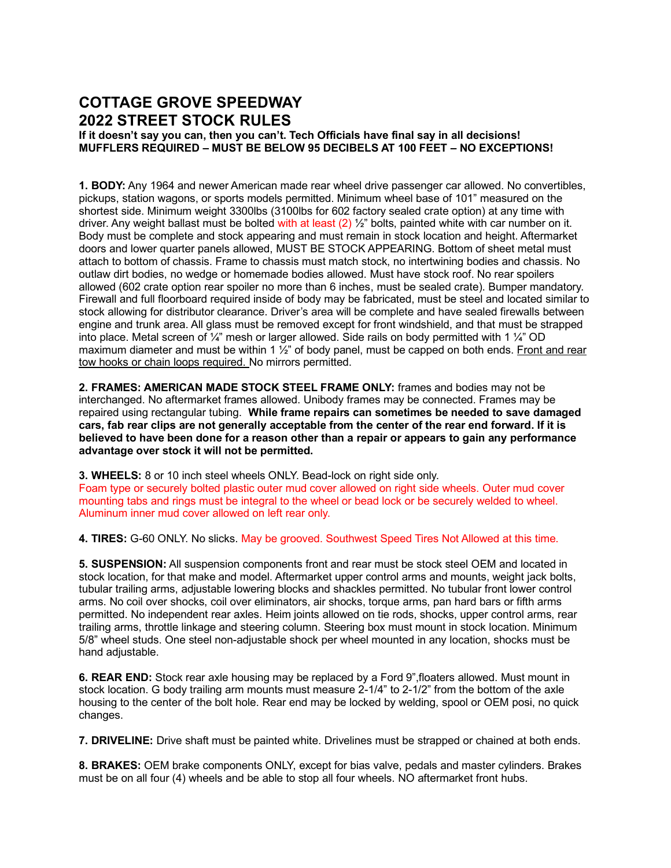## **COTTAGE GROVE SPEEDWAY 2022 STREET STOCK RULES**

**If it doesn't say you can, then you can't. Tech Officials have final say in all decisions! MUFFLERS REQUIRED – MUST BE BELOW 95 DECIBELS AT 100 FEET – NO EXCEPTIONS!**

**1. BODY:** Any 1964 and newer American made rear wheel drive passenger car allowed. No convertibles, pickups, station wagons, or sports models permitted. Minimum wheel base of 101" measured on the shortest side. Minimum weight 3300lbs (3100lbs for 602 factory sealed crate option) at any time with driver. Any weight ballast must be bolted with at least  $(2)$   $\frac{1}{2}$ " bolts, painted white with car number on it. Body must be complete and stock appearing and must remain in stock location and height. Aftermarket doors and lower quarter panels allowed, MUST BE STOCK APPEARING. Bottom of sheet metal must attach to bottom of chassis. Frame to chassis must match stock, no intertwining bodies and chassis. No outlaw dirt bodies, no wedge or homemade bodies allowed. Must have stock roof. No rear spoilers allowed (602 crate option rear spoiler no more than 6 inches, must be sealed crate). Bumper mandatory. Firewall and full floorboard required inside of body may be fabricated, must be steel and located similar to stock allowing for distributor clearance. Driver's area will be complete and have sealed firewalls between engine and trunk area. All glass must be removed except for front windshield, and that must be strapped into place. Metal screen of  $\frac{1}{4}$ " mesh or larger allowed. Side rails on body permitted with 1  $\frac{1}{4}$ " OD maximum diameter and must be within 1  $\frac{1}{2}$ " of body panel, must be capped on both ends. Front and rear tow hooks or chain loops required. No mirrors permitted.

**2. FRAMES: AMERICAN MADE STOCK STEEL FRAME ONLY:** frames and bodies may not be interchanged. No aftermarket frames allowed. Unibody frames may be connected. Frames may be repaired using rectangular tubing. **While frame repairs can sometimes be needed to save damaged cars, fab rear clips are not generally acceptable from the center of the rear end forward. If it is believed to have been done for a reason other than a repair or appears to gain any performance advantage over stock it will not be permitted.**

**3. WHEELS:** 8 or 10 inch steel wheels ONLY. Bead-lock on right side only. Foam type or securely bolted plastic outer mud cover allowed on right side wheels. Outer mud cover mounting tabs and rings must be integral to the wheel or bead lock or be securely welded to wheel. Aluminum inner mud cover allowed on left rear only.

**4. TIRES:** G-60 ONLY. No slicks. May be grooved. Southwest Speed Tires Not Allowed at this time.

**5. SUSPENSION:** All suspension components front and rear must be stock steel OEM and located in stock location, for that make and model. Aftermarket upper control arms and mounts, weight jack bolts, tubular trailing arms, adjustable lowering blocks and shackles permitted. No tubular front lower control arms. No coil over shocks, coil over eliminators, air shocks, torque arms, pan hard bars or fifth arms permitted. No independent rear axles. Heim joints allowed on tie rods, shocks, upper control arms, rear trailing arms, throttle linkage and steering column. Steering box must mount in stock location. Minimum 5/8" wheel studs. One steel non-adjustable shock per wheel mounted in any location, shocks must be hand adjustable.

**6. REAR END:** Stock rear axle housing may be replaced by a Ford 9",floaters allowed. Must mount in stock location. G body trailing arm mounts must measure 2-1/4" to 2-1/2" from the bottom of the axle housing to the center of the bolt hole. Rear end may be locked by welding, spool or OEM posi, no quick changes.

**7. DRIVELINE:** Drive shaft must be painted white. Drivelines must be strapped or chained at both ends.

**8. BRAKES:** OEM brake components ONLY, except for bias valve, pedals and master cylinders. Brakes must be on all four (4) wheels and be able to stop all four wheels. NO aftermarket front hubs.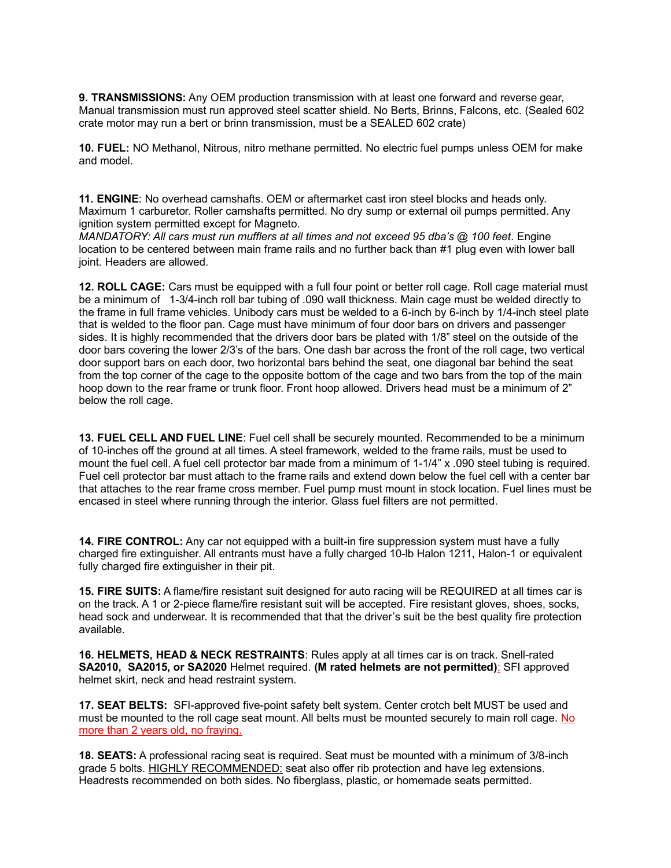**9. TRANSMISSIONS:** Any OEM production transmission with at least one forward and reverse gear, Manual transmission must run approved steel scatter shield. No Berts, Brinns, Falcons, etc. (Sealed 602 crate motor may run a bert or brinn transmission, must be a SEALED 602 crate)

**10. FUEL:** NO Methanol, Nitrous, nitro methane permitted. No electric fuel pumps unless OEM for make and model.

**11. ENGINE**: No overhead camshafts. OEM or aftermarket cast iron steel blocks and heads only. Maximum 1 carburetor. Roller camshafts permitted. No dry sump or external oil pumps permitted. Any ignition system permitted except for Magneto.

*MANDATORY: All cars must run mufflers at all times and not exceed 95 dba's @ 100 feet*. Engine location to be centered between main frame rails and no further back than #1 plug even with lower ball joint. Headers are allowed.

**12. ROLL CAGE:** Cars must be equipped with a full four point or better roll cage. Roll cage material must be a minimum of 1-3/4-inch roll bar tubing of .090 wall thickness. Main cage must be welded directly to the frame in full frame vehicles. Unibody cars must be welded to a 6-inch by 6-inch by 1/4-inch steel plate that is welded to the floor pan. Cage must have minimum of four door bars on drivers and passenger sides. It is highly recommended that the drivers door bars be plated with 1/8" steel on the outside of the door bars covering the lower 2/3's of the bars. One dash bar across the front of the roll cage, two vertical door support bars on each door, two horizontal bars behind the seat, one diagonal bar behind the seat from the top corner of the cage to the opposite bottom of the cage and two bars from the top of the main hoop down to the rear frame or trunk floor. Front hoop allowed. Drivers head must be a minimum of 2" below the roll cage.

**13. FUEL CELL AND FUEL LINE**: Fuel cell shall be securely mounted. Recommended to be a minimum of 10-inches off the ground at all times. A steel framework, welded to the frame rails, must be used to mount the fuel cell. A fuel cell protector bar made from a minimum of 1-1/4" x .090 steel tubing is required. Fuel cell protector bar must attach to the frame rails and extend down below the fuel cell with a center bar that attaches to the rear frame cross member. Fuel pump must mount in stock location. Fuel lines must be encased in steel where running through the interior. Glass fuel filters are not permitted.

**14. FIRE CONTROL:** Any car not equipped with a built-in fire suppression system must have a fully charged fire extinguisher. All entrants must have a fully charged 10-lb Halon 1211, Halon-1 or equivalent fully charged fire extinguisher in their pit.

**15. FIRE SUITS:** A flame/fire resistant suit designed for auto racing will be REQUIRED at all times car is on the track. A 1 or 2-piece flame/fire resistant suit will be accepted. Fire resistant gloves, shoes, socks, head sock and underwear. It is recommended that that the driver's suit be the best quality fire protection available.

**16. HELMETS, HEAD & NECK RESTRAINTS**: Rules apply at all times car is on track. Snell-rated **SA2010, SA2015, or SA2020** Helmet required. **(M rated helmets are not permitted)**: SFI approved helmet skirt, neck and head restraint system.

**17. SEAT BELTS:** SFI-approved five-point safety belt system. Center crotch belt MUST be used and must be mounted to the roll cage seat mount. All belts must be mounted securely to main roll cage. No more than 2 years old, no fraying.

**18. SEATS:** A professional racing seat is required. Seat must be mounted with a minimum of 3/8-inch grade 5 bolts. HIGHLY RECOMMENDED: seat also offer rib protection and have leg extensions. Headrests recommended on both sides. No fiberglass, plastic, or homemade seats permitted.